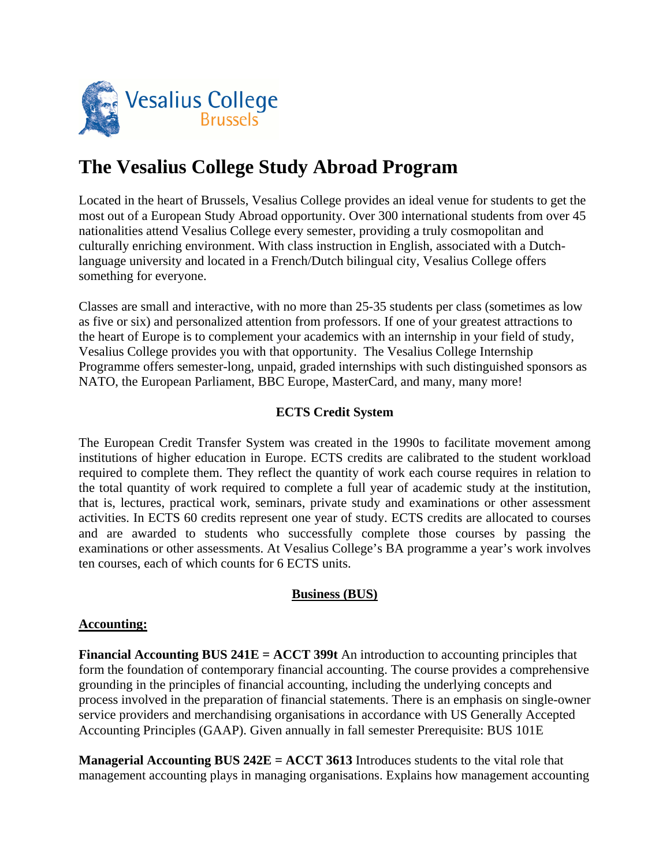

# **The Vesalius College Study Abroad Program**

Located in the heart of Brussels, Vesalius College provides an ideal venue for students to get the most out of a European Study Abroad opportunity. Over 300 international students from over 45 nationalities attend Vesalius College every semester, providing a truly cosmopolitan and culturally enriching environment. With class instruction in English, associated with a Dutchlanguage university and located in a French/Dutch bilingual city, Vesalius College offers something for everyone.

Classes are small and interactive, with no more than 25-35 students per class (sometimes as low as five or six) and personalized attention from professors. If one of your greatest attractions to the heart of Europe is to complement your academics with an internship in your field of study, Vesalius College provides you with that opportunity. The Vesalius College Internship Programme offers semester-long, unpaid, graded internships with such distinguished sponsors as NATO, the European Parliament, BBC Europe, MasterCard, and many, many more!

## **ECTS Credit System**

The European Credit Transfer System was created in the 1990s to facilitate movement among institutions of higher education in Europe. ECTS credits are calibrated to the student workload required to complete them. They reflect the quantity of work each course requires in relation to the total quantity of work required to complete a full year of academic study at the institution, that is, lectures, practical work, seminars, private study and examinations or other assessment activities. In ECTS 60 credits represent one year of study. ECTS credits are allocated to courses and are awarded to students who successfully complete those courses by passing the examinations or other assessments. At Vesalius College's BA programme a year's work involves ten courses, each of which counts for 6 ECTS units.

#### **Business (BUS)**

#### **Accounting:**

**Financial Accounting BUS 241E = ACCT 399t** An introduction to accounting principles that form the foundation of contemporary financial accounting. The course provides a comprehensive grounding in the principles of financial accounting, including the underlying concepts and process involved in the preparation of financial statements. There is an emphasis on single-owner service providers and merchandising organisations in accordance with US Generally Accepted Accounting Principles (GAAP). Given annually in fall semester Prerequisite: BUS 101E

**Managerial Accounting BUS 242E = ACCT 3613** Introduces students to the vital role that management accounting plays in managing organisations. Explains how management accounting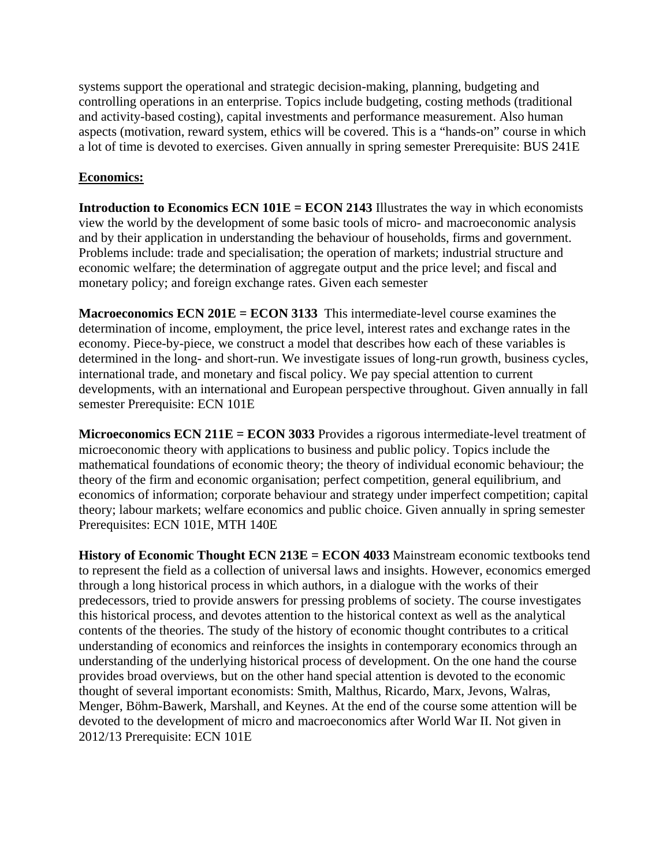systems support the operational and strategic decision-making, planning, budgeting and controlling operations in an enterprise. Topics include budgeting, costing methods (traditional and activity-based costing), capital investments and performance measurement. Also human aspects (motivation, reward system, ethics will be covered. This is a "hands-on" course in which a lot of time is devoted to exercises. Given annually in spring semester Prerequisite: BUS 241E

#### **Economics:**

**Introduction to Economics ECN 101E = ECON 2143** Illustrates the way in which economists view the world by the development of some basic tools of micro- and macroeconomic analysis and by their application in understanding the behaviour of households, firms and government. Problems include: trade and specialisation; the operation of markets; industrial structure and economic welfare; the determination of aggregate output and the price level; and fiscal and monetary policy; and foreign exchange rates. Given each semester

**Macroeconomics ECN 201E = ECON 3133** This intermediate-level course examines the determination of income, employment, the price level, interest rates and exchange rates in the economy. Piece-by-piece, we construct a model that describes how each of these variables is determined in the long- and short-run. We investigate issues of long-run growth, business cycles, international trade, and monetary and fiscal policy. We pay special attention to current developments, with an international and European perspective throughout. Given annually in fall semester Prerequisite: ECN 101E

**Microeconomics ECN 211E = ECON 3033** Provides a rigorous intermediate-level treatment of microeconomic theory with applications to business and public policy. Topics include the mathematical foundations of economic theory; the theory of individual economic behaviour; the theory of the firm and economic organisation; perfect competition, general equilibrium, and economics of information; corporate behaviour and strategy under imperfect competition; capital theory; labour markets; welfare economics and public choice. Given annually in spring semester Prerequisites: ECN 101E, MTH 140E

**History of Economic Thought ECN 213E = ECON 4033** Mainstream economic textbooks tend to represent the field as a collection of universal laws and insights. However, economics emerged through a long historical process in which authors, in a dialogue with the works of their predecessors, tried to provide answers for pressing problems of society. The course investigates this historical process, and devotes attention to the historical context as well as the analytical contents of the theories. The study of the history of economic thought contributes to a critical understanding of economics and reinforces the insights in contemporary economics through an understanding of the underlying historical process of development. On the one hand the course provides broad overviews, but on the other hand special attention is devoted to the economic thought of several important economists: Smith, Malthus, Ricardo, Marx, Jevons, Walras, Menger, Böhm-Bawerk, Marshall, and Keynes. At the end of the course some attention will be devoted to the development of micro and macroeconomics after World War II. Not given in 2012/13 Prerequisite: ECN 101E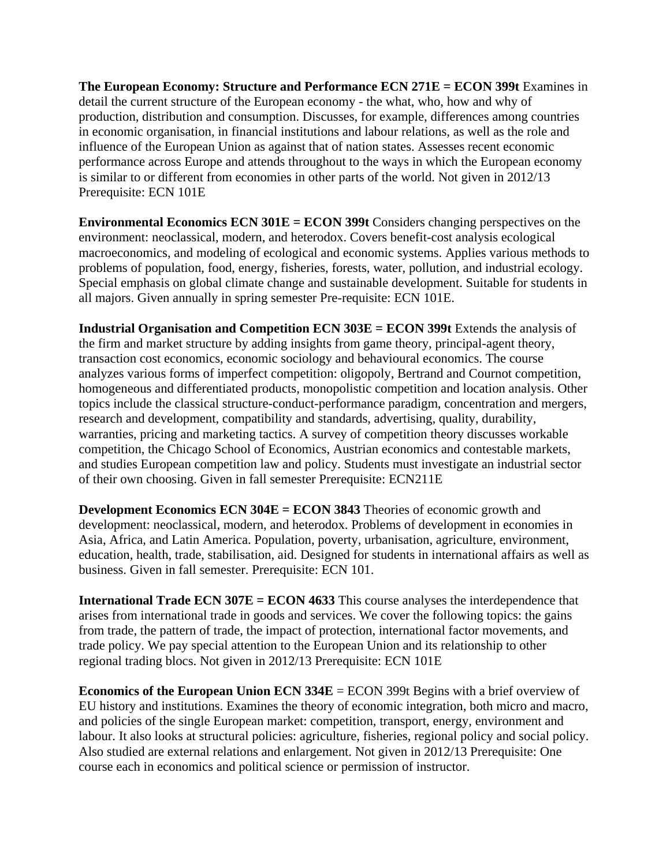**The European Economy: Structure and Performance ECN 271E = ECON 399t** Examines in detail the current structure of the European economy - the what, who, how and why of production, distribution and consumption. Discusses, for example, differences among countries in economic organisation, in financial institutions and labour relations, as well as the role and influence of the European Union as against that of nation states. Assesses recent economic performance across Europe and attends throughout to the ways in which the European economy is similar to or different from economies in other parts of the world. Not given in 2012/13 Prerequisite: ECN 101E

**Environmental Economics ECN 301E = ECON 399t** Considers changing perspectives on the environment: neoclassical, modern, and heterodox. Covers benefit-cost analysis ecological macroeconomics, and modeling of ecological and economic systems. Applies various methods to problems of population, food, energy, fisheries, forests, water, pollution, and industrial ecology. Special emphasis on global climate change and sustainable development. Suitable for students in all majors. Given annually in spring semester Pre-requisite: ECN 101E.

**Industrial Organisation and Competition ECN 303E = ECON 399t** Extends the analysis of the firm and market structure by adding insights from game theory, principal-agent theory, transaction cost economics, economic sociology and behavioural economics. The course analyzes various forms of imperfect competition: oligopoly, Bertrand and Cournot competition, homogeneous and differentiated products, monopolistic competition and location analysis. Other topics include the classical structure-conduct-performance paradigm, concentration and mergers, research and development, compatibility and standards, advertising, quality, durability, warranties, pricing and marketing tactics. A survey of competition theory discusses workable competition, the Chicago School of Economics, Austrian economics and contestable markets, and studies European competition law and policy. Students must investigate an industrial sector of their own choosing. Given in fall semester Prerequisite: ECN211E

**Development Economics ECN 304E = ECON 3843** Theories of economic growth and development: neoclassical, modern, and heterodox. Problems of development in economies in Asia, Africa, and Latin America. Population, poverty, urbanisation, agriculture, environment, education, health, trade, stabilisation, aid. Designed for students in international affairs as well as business. Given in fall semester. Prerequisite: ECN 101.

**International Trade ECN 307E = ECON 4633** This course analyses the interdependence that arises from international trade in goods and services. We cover the following topics: the gains from trade, the pattern of trade, the impact of protection, international factor movements, and trade policy. We pay special attention to the European Union and its relationship to other regional trading blocs. Not given in 2012/13 Prerequisite: ECN 101E

**Economics of the European Union ECN 334E** = ECON 399t Begins with a brief overview of EU history and institutions. Examines the theory of economic integration, both micro and macro, and policies of the single European market: competition, transport, energy, environment and labour. It also looks at structural policies: agriculture, fisheries, regional policy and social policy. Also studied are external relations and enlargement. Not given in 2012/13 Prerequisite: One course each in economics and political science or permission of instructor.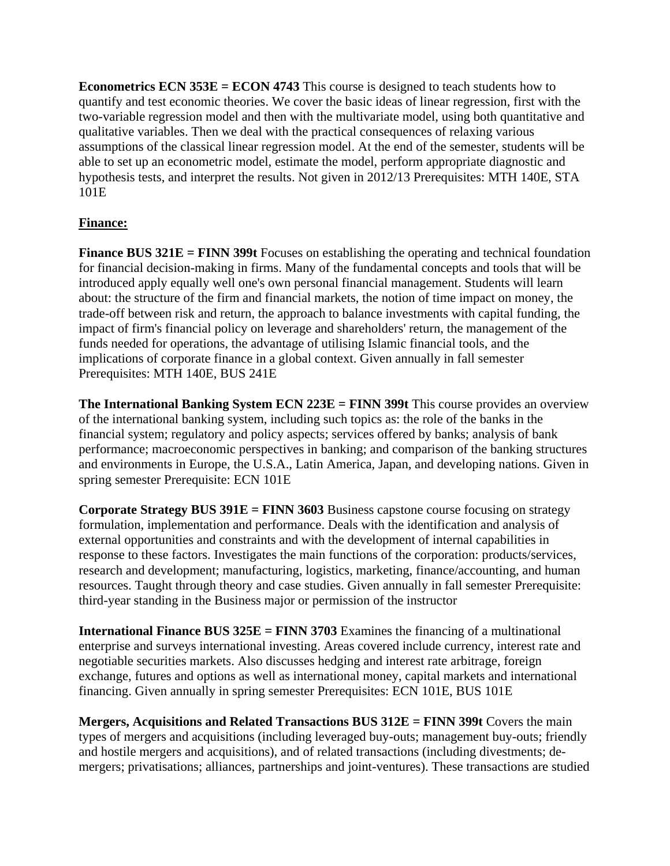**Econometrics ECN 353E = ECON 4743** This course is designed to teach students how to quantify and test economic theories. We cover the basic ideas of linear regression, first with the two-variable regression model and then with the multivariate model, using both quantitative and qualitative variables. Then we deal with the practical consequences of relaxing various assumptions of the classical linear regression model. At the end of the semester, students will be able to set up an econometric model, estimate the model, perform appropriate diagnostic and hypothesis tests, and interpret the results. Not given in 2012/13 Prerequisites: MTH 140E, STA 101E

# **Finance:**

**Finance BUS 321E = FINN 399t** Focuses on establishing the operating and technical foundation for financial decision-making in firms. Many of the fundamental concepts and tools that will be introduced apply equally well one's own personal financial management. Students will learn about: the structure of the firm and financial markets, the notion of time impact on money, the trade-off between risk and return, the approach to balance investments with capital funding, the impact of firm's financial policy on leverage and shareholders' return, the management of the funds needed for operations, the advantage of utilising Islamic financial tools, and the implications of corporate finance in a global context. Given annually in fall semester Prerequisites: MTH 140E, BUS 241E

**The International Banking System ECN 223E = FINN 399t** This course provides an overview of the international banking system, including such topics as: the role of the banks in the financial system; regulatory and policy aspects; services offered by banks; analysis of bank performance; macroeconomic perspectives in banking; and comparison of the banking structures and environments in Europe, the U.S.A., Latin America, Japan, and developing nations. Given in spring semester Prerequisite: ECN 101E

**Corporate Strategy BUS 391E = FINN 3603** Business capstone course focusing on strategy formulation, implementation and performance. Deals with the identification and analysis of external opportunities and constraints and with the development of internal capabilities in response to these factors. Investigates the main functions of the corporation: products/services, research and development; manufacturing, logistics, marketing, finance/accounting, and human resources. Taught through theory and case studies. Given annually in fall semester Prerequisite: third-year standing in the Business major or permission of the instructor

**International Finance BUS 325E = FINN 3703** Examines the financing of a multinational enterprise and surveys international investing. Areas covered include currency, interest rate and negotiable securities markets. Also discusses hedging and interest rate arbitrage, foreign exchange, futures and options as well as international money, capital markets and international financing. Given annually in spring semester Prerequisites: ECN 101E, BUS 101E

**Mergers, Acquisitions and Related Transactions BUS 312E = FINN 399t** Covers the main types of mergers and acquisitions (including leveraged buy-outs; management buy-outs; friendly and hostile mergers and acquisitions), and of related transactions (including divestments; demergers; privatisations; alliances, partnerships and joint-ventures). These transactions are studied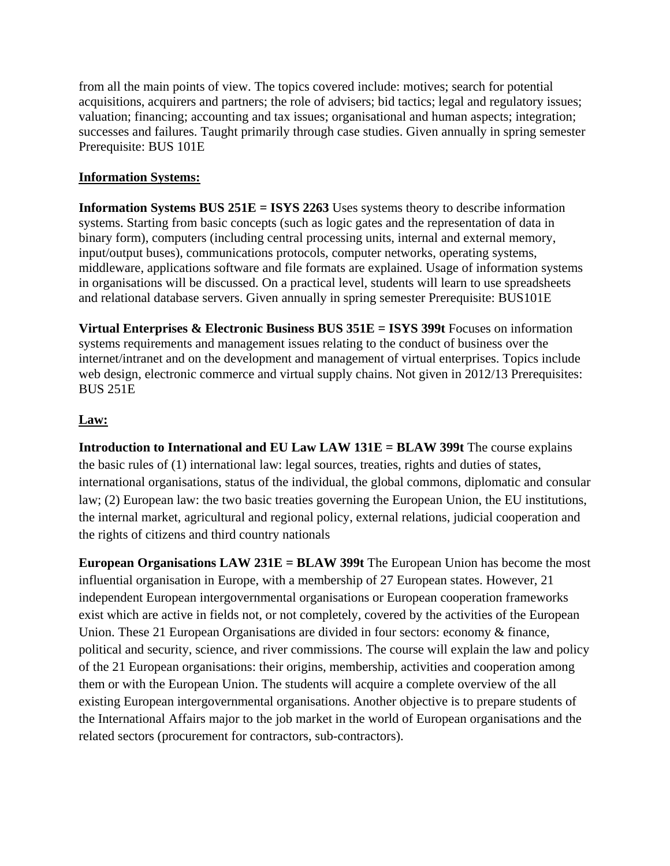from all the main points of view. The topics covered include: motives; search for potential acquisitions, acquirers and partners; the role of advisers; bid tactics; legal and regulatory issues; valuation; financing; accounting and tax issues; organisational and human aspects; integration; successes and failures. Taught primarily through case studies. Given annually in spring semester Prerequisite: BUS 101E

### **Information Systems:**

**Information Systems BUS 251E = ISYS 2263** Uses systems theory to describe information systems. Starting from basic concepts (such as logic gates and the representation of data in binary form), computers (including central processing units, internal and external memory, input/output buses), communications protocols, computer networks, operating systems, middleware, applications software and file formats are explained. Usage of information systems in organisations will be discussed. On a practical level, students will learn to use spreadsheets and relational database servers. Given annually in spring semester Prerequisite: BUS101E

**Virtual Enterprises & Electronic Business BUS 351E = ISYS 399t** Focuses on information systems requirements and management issues relating to the conduct of business over the internet/intranet and on the development and management of virtual enterprises. Topics include web design, electronic commerce and virtual supply chains. Not given in 2012/13 Prerequisites: BUS 251E

# **Law:**

**Introduction to International and EU Law LAW 131E = BLAW 399t** The course explains the basic rules of (1) international law: legal sources, treaties, rights and duties of states, international organisations, status of the individual, the global commons, diplomatic and consular law; (2) European law: the two basic treaties governing the European Union, the EU institutions, the internal market, agricultural and regional policy, external relations, judicial cooperation and the rights of citizens and third country nationals

**European Organisations LAW 231E = BLAW 399t** The European Union has become the most influential organisation in Europe, with a membership of 27 European states. However, 21 independent European intergovernmental organisations or European cooperation frameworks exist which are active in fields not, or not completely, covered by the activities of the European Union. These 21 European Organisations are divided in four sectors: economy & finance, political and security, science, and river commissions. The course will explain the law and policy of the 21 European organisations: their origins, membership, activities and cooperation among them or with the European Union. The students will acquire a complete overview of the all existing European intergovernmental organisations. Another objective is to prepare students of the International Affairs major to the job market in the world of European organisations and the related sectors (procurement for contractors, sub-contractors).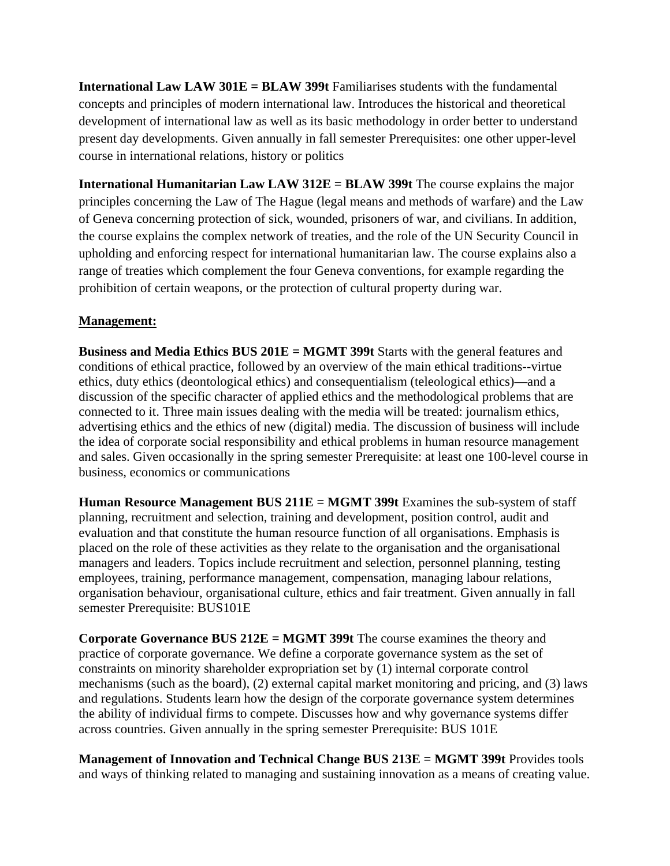**International Law LAW 301E = BLAW 399t** Familiarises students with the fundamental concepts and principles of modern international law. Introduces the historical and theoretical development of international law as well as its basic methodology in order better to understand present day developments. Given annually in fall semester Prerequisites: one other upper-level course in international relations, history or politics

**International Humanitarian Law LAW 312E = BLAW 399t** The course explains the major principles concerning the Law of The Hague (legal means and methods of warfare) and the Law of Geneva concerning protection of sick, wounded, prisoners of war, and civilians. In addition, the course explains the complex network of treaties, and the role of the UN Security Council in upholding and enforcing respect for international humanitarian law. The course explains also a range of treaties which complement the four Geneva conventions, for example regarding the prohibition of certain weapons, or the protection of cultural property during war.

#### **Management:**

**Business and Media Ethics BUS 201E = MGMT 399t** Starts with the general features and conditions of ethical practice, followed by an overview of the main ethical traditions--virtue ethics, duty ethics (deontological ethics) and consequentialism (teleological ethics)—and a discussion of the specific character of applied ethics and the methodological problems that are connected to it. Three main issues dealing with the media will be treated: journalism ethics, advertising ethics and the ethics of new (digital) media. The discussion of business will include the idea of corporate social responsibility and ethical problems in human resource management and sales. Given occasionally in the spring semester Prerequisite: at least one 100-level course in business, economics or communications

**Human Resource Management BUS 211E = MGMT 399t** Examines the sub-system of staff planning, recruitment and selection, training and development, position control, audit and evaluation and that constitute the human resource function of all organisations. Emphasis is placed on the role of these activities as they relate to the organisation and the organisational managers and leaders. Topics include recruitment and selection, personnel planning, testing employees, training, performance management, compensation, managing labour relations, organisation behaviour, organisational culture, ethics and fair treatment. Given annually in fall semester Prerequisite: BUS101E

**Corporate Governance BUS 212E = MGMT 399t** The course examines the theory and practice of corporate governance. We define a corporate governance system as the set of constraints on minority shareholder expropriation set by (1) internal corporate control mechanisms (such as the board), (2) external capital market monitoring and pricing, and (3) laws and regulations. Students learn how the design of the corporate governance system determines the ability of individual firms to compete. Discusses how and why governance systems differ across countries. Given annually in the spring semester Prerequisite: BUS 101E

**Management of Innovation and Technical Change BUS 213E = MGMT 399t** Provides tools and ways of thinking related to managing and sustaining innovation as a means of creating value.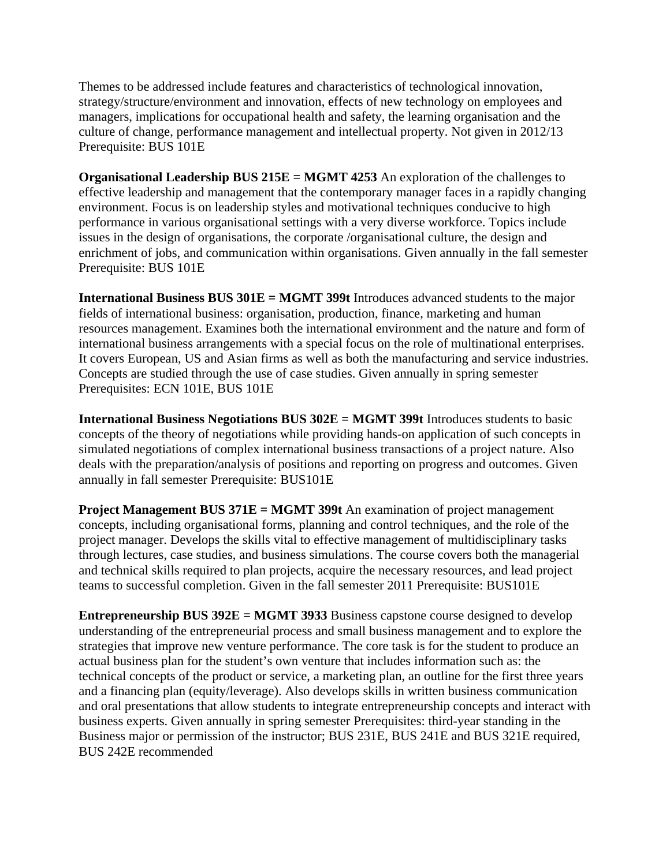Themes to be addressed include features and characteristics of technological innovation, strategy/structure/environment and innovation, effects of new technology on employees and managers, implications for occupational health and safety, the learning organisation and the culture of change, performance management and intellectual property. Not given in 2012/13 Prerequisite: BUS 101E

**Organisational Leadership BUS 215E = MGMT 4253** An exploration of the challenges to effective leadership and management that the contemporary manager faces in a rapidly changing environment. Focus is on leadership styles and motivational techniques conducive to high performance in various organisational settings with a very diverse workforce. Topics include issues in the design of organisations, the corporate /organisational culture, the design and enrichment of jobs, and communication within organisations. Given annually in the fall semester Prerequisite: BUS 101E

**International Business BUS 301E = MGMT 399t** Introduces advanced students to the major fields of international business: organisation, production, finance, marketing and human resources management. Examines both the international environment and the nature and form of international business arrangements with a special focus on the role of multinational enterprises. It covers European, US and Asian firms as well as both the manufacturing and service industries. Concepts are studied through the use of case studies. Given annually in spring semester Prerequisites: ECN 101E, BUS 101E

**International Business Negotiations BUS 302E = MGMT 399t** Introduces students to basic concepts of the theory of negotiations while providing hands-on application of such concepts in simulated negotiations of complex international business transactions of a project nature. Also deals with the preparation/analysis of positions and reporting on progress and outcomes. Given annually in fall semester Prerequisite: BUS101E

**Project Management BUS 371E = MGMT 399t** An examination of project management concepts, including organisational forms, planning and control techniques, and the role of the project manager. Develops the skills vital to effective management of multidisciplinary tasks through lectures, case studies, and business simulations. The course covers both the managerial and technical skills required to plan projects, acquire the necessary resources, and lead project teams to successful completion. Given in the fall semester 2011 Prerequisite: BUS101E

**Entrepreneurship BUS 392E = MGMT 3933** Business capstone course designed to develop understanding of the entrepreneurial process and small business management and to explore the strategies that improve new venture performance. The core task is for the student to produce an actual business plan for the student's own venture that includes information such as: the technical concepts of the product or service, a marketing plan, an outline for the first three years and a financing plan (equity/leverage). Also develops skills in written business communication and oral presentations that allow students to integrate entrepreneurship concepts and interact with business experts. Given annually in spring semester Prerequisites: third-year standing in the Business major or permission of the instructor; BUS 231E, BUS 241E and BUS 321E required, BUS 242E recommended